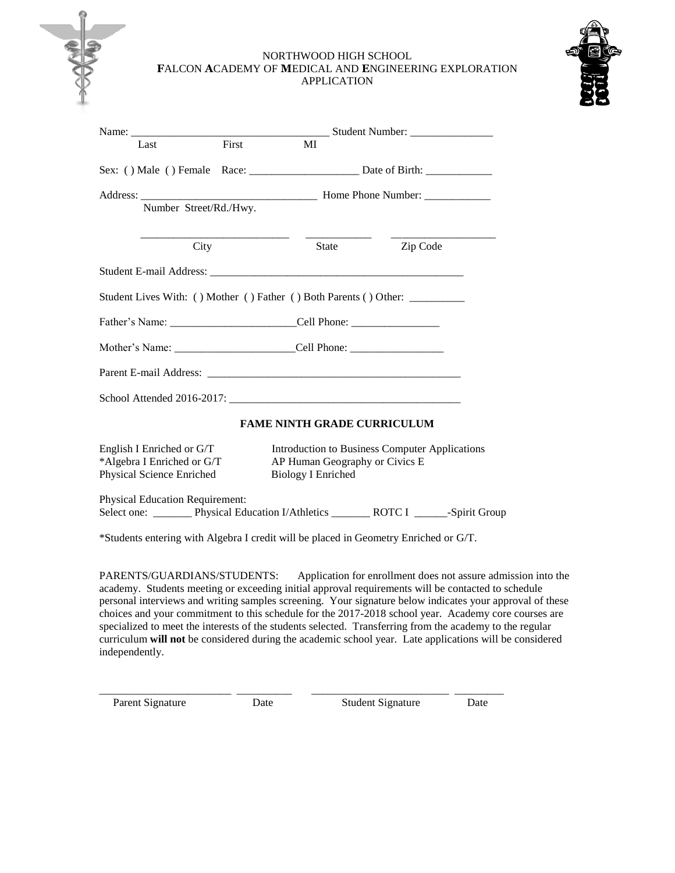### NORTHWOOD HIGH SCHOOL **F**ALCON **A**CADEMY OF **M**EDICAL AND **E**NGINEERING EXPLORATION APPLICATION



|                                                                                      | Name: Student Number:                                                                                         |  |  |  |  |  |
|--------------------------------------------------------------------------------------|---------------------------------------------------------------------------------------------------------------|--|--|--|--|--|
| Last                                                                                 | First<br>MI                                                                                                   |  |  |  |  |  |
|                                                                                      |                                                                                                               |  |  |  |  |  |
| Address:<br>Number Street/Rd./Hwy.                                                   | Home Phone Number:                                                                                            |  |  |  |  |  |
| City                                                                                 | Zip Code<br>State                                                                                             |  |  |  |  |  |
|                                                                                      |                                                                                                               |  |  |  |  |  |
|                                                                                      | Student Lives With: () Mother () Father () Both Parents () Other:                                             |  |  |  |  |  |
|                                                                                      |                                                                                                               |  |  |  |  |  |
|                                                                                      | Mother's Name: __________________________Cell Phone: ____________________________                             |  |  |  |  |  |
|                                                                                      |                                                                                                               |  |  |  |  |  |
|                                                                                      |                                                                                                               |  |  |  |  |  |
|                                                                                      | <b>FAME NINTH GRADE CURRICULUM</b>                                                                            |  |  |  |  |  |
| English I Enriched or G/T<br>*Algebra I Enriched or G/T<br>Physical Science Enriched | Introduction to Business Computer Applications<br>AP Human Geography or Civics E<br><b>Biology I Enriched</b> |  |  |  |  |  |
| <b>Physical Education Requirement:</b>                                               | Select one: _________ Physical Education I/Athletics _________ ROTC I _______-Spirit Group                    |  |  |  |  |  |
|                                                                                      | *Students entering with Algebra I credit will be placed in Geometry Enriched or G/T.                          |  |  |  |  |  |

PARENTS/GUARDIANS/STUDENTS: Application for enrollment does not assure admission into the academy. Students meeting or exceeding initial approval requirements will be contacted to schedule personal interviews and writing samples screening. Your signature below indicates your approval of these choices and your commitment to this schedule for the 2017-2018 school year. Academy core courses are specialized to meet the interests of the students selected. Transferring from the academy to the regular curriculum **will not** be considered during the academic school year. Late applications will be considered independently.

\_\_\_\_\_\_\_\_\_\_\_\_\_\_\_\_\_\_\_\_\_\_\_\_ \_\_\_\_\_\_\_\_\_\_ \_\_\_\_\_\_\_\_\_\_\_\_\_\_\_\_\_\_\_\_\_\_\_\_\_ \_\_\_\_\_\_\_\_\_

Parent Signature Date Date Student Signature Date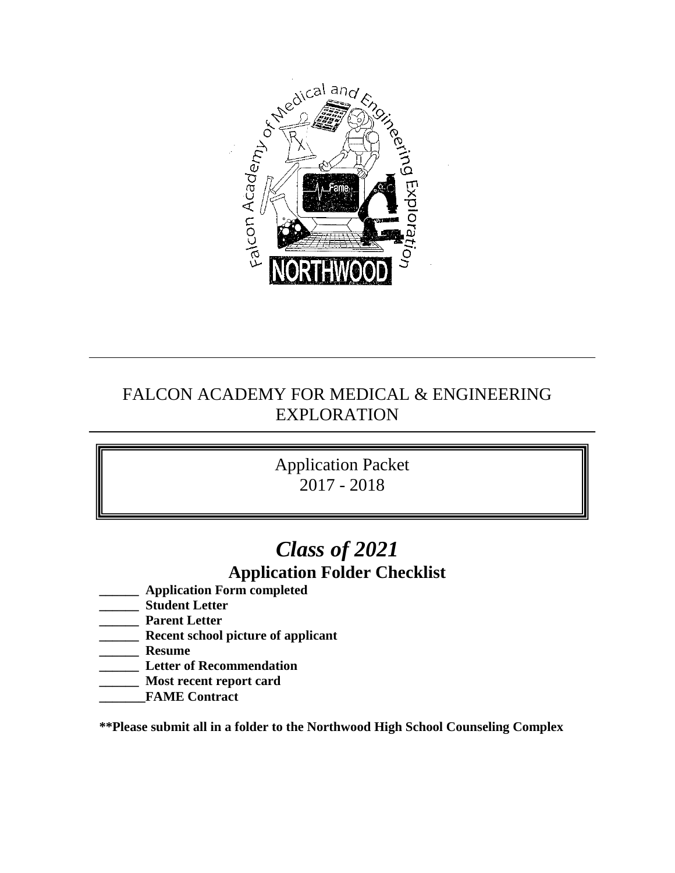

# FALCON ACADEMY FOR MEDICAL & ENGINEERING EXPLORATION

# Application Packet 2017 - 2018

# *Class of 2021* **Application Folder Checklist**

- **\_\_\_\_\_\_ Application Form completed**
- **\_\_\_\_\_\_ Student Letter**
- **\_\_\_\_\_\_ Parent Letter**
- **\_\_\_\_\_\_ Recent school picture of applicant**
- **\_\_\_\_\_\_ Resume**
- **\_\_\_\_\_\_ Letter of Recommendation**
- **\_\_\_\_\_\_ Most recent report card**
- **\_\_\_\_\_\_\_FAME Contract**

**\*\*Please submit all in a folder to the Northwood High School Counseling Complex**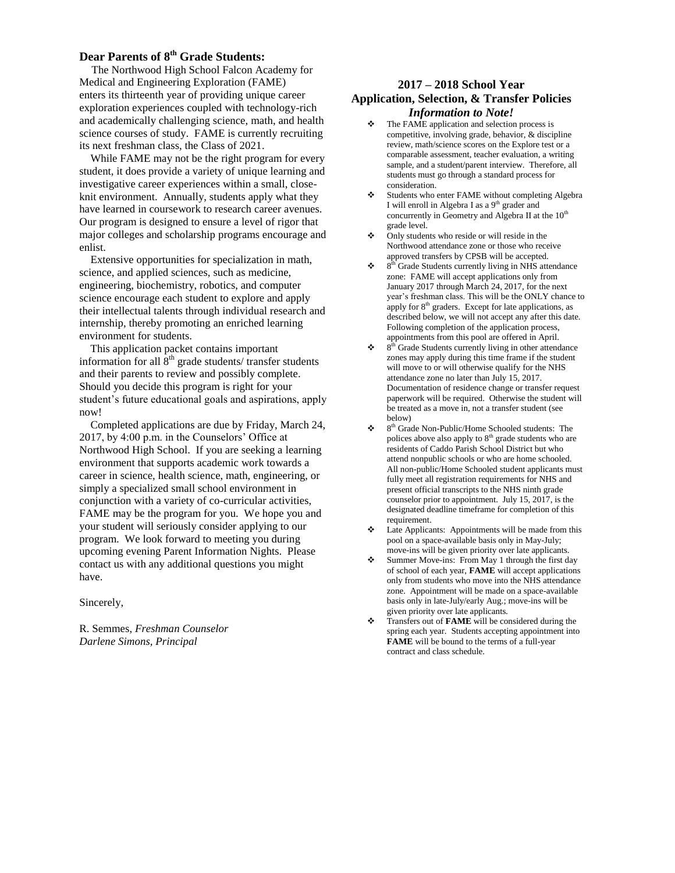## **Dear Parents of 8th Grade Students:**

 The Northwood High School Falcon Academy for Medical and Engineering Exploration (FAME) enters its thirteenth year of providing unique career exploration experiences coupled with technology-rich and academically challenging science, math, and health science courses of study. FAME is currently recruiting its next freshman class, the Class of 2021.

 While FAME may not be the right program for every student, it does provide a variety of unique learning and investigative career experiences within a small, closeknit environment. Annually, students apply what they have learned in coursework to research career avenues. Our program is designed to ensure a level of rigor that major colleges and scholarship programs encourage and enlist.

 Extensive opportunities for specialization in math, science, and applied sciences, such as medicine, engineering, biochemistry, robotics, and computer science encourage each student to explore and apply their intellectual talents through individual research and internship, thereby promoting an enriched learning environment for students.

 This application packet contains important information for all  $\hat{8}^{th}$  grade students/ transfer students and their parents to review and possibly complete. Should you decide this program is right for your student's future educational goals and aspirations, apply now!

 Completed applications are due by Friday, March 24, 2017, by 4:00 p.m. in the Counselors' Office at Northwood High School. If you are seeking a learning environment that supports academic work towards a career in science, health science, math, engineering, or simply a specialized small school environment in conjunction with a variety of co-curricular activities, FAME may be the program for you. We hope you and your student will seriously consider applying to our program. We look forward to meeting you during upcoming evening Parent Information Nights. Please contact us with any additional questions you might have.

Sincerely,

R. Semmes, *Freshman Counselor Darlene Simons, Principal*

### **2017 – 2018 School Year Application, Selection, & Transfer Policies** *Information to Note!*

- $\triangle$  The FAME application and selection process is competitive, involving grade, behavior, & discipline review, math/science scores on the Explore test or a comparable assessment, teacher evaluation, a writing sample, and a student/parent interview. Therefore, all students must go through a standard process for consideration.
- Students who enter FAME without completing Algebra I will enroll in Algebra I as a 9<sup>th</sup> grader and concurrently in Geometry and Algebra II at the  $10<sup>th</sup>$ grade level.
- Only students who reside or will reside in the Northwood attendance zone or those who receive approved transfers by CPSB will be accepted.
- 8  $8<sup>th</sup>$  Grade Students currently living in NHS attendance zone: FAME will accept applications only from January 2017 through March 24, 2017, for the next year's freshman class. This will be the ONLY chance to apply for  $8<sup>th</sup>$  graders. Except for late applications, as described below, we will not accept any after this date. Following completion of the application process, appointments from this pool are offered in April.
- $\div$  8<sup>th</sup> Grade Students currently living in other attendance zones may apply during this time frame if the student will move to or will otherwise qualify for the NHS attendance zone no later than July 15, 2017. Documentation of residence change or transfer request paperwork will be required. Otherwise the student will be treated as a move in, not a transfer student (see below)
- 8 th Grade Non-Public/Home Schooled students: The polices above also apply to  $8<sup>th</sup>$  grade students who are residents of Caddo Parish School District but who attend nonpublic schools or who are home schooled. All non-public/Home Schooled student applicants must fully meet all registration requirements for NHS and present official transcripts to the NHS ninth grade counselor prior to appointment. July 15, 2017, is the designated deadline timeframe for completion of this requirement.
- Late Applicants: Appointments will be made from this pool on a space-available basis only in May-July; move-ins will be given priority over late applicants.
- $\bullet$  Summer Move-ins: From May 1 through the first day of school of each year, **FAME** will accept applications only from students who move into the NHS attendance zone. Appointment will be made on a space-available basis only in late-July/early Aug.; move-ins will be given priority over late applicants.
- Transfers out of **FAME** will be considered during the spring each year. Students accepting appointment into **FAME** will be bound to the terms of a full-year contract and class schedule.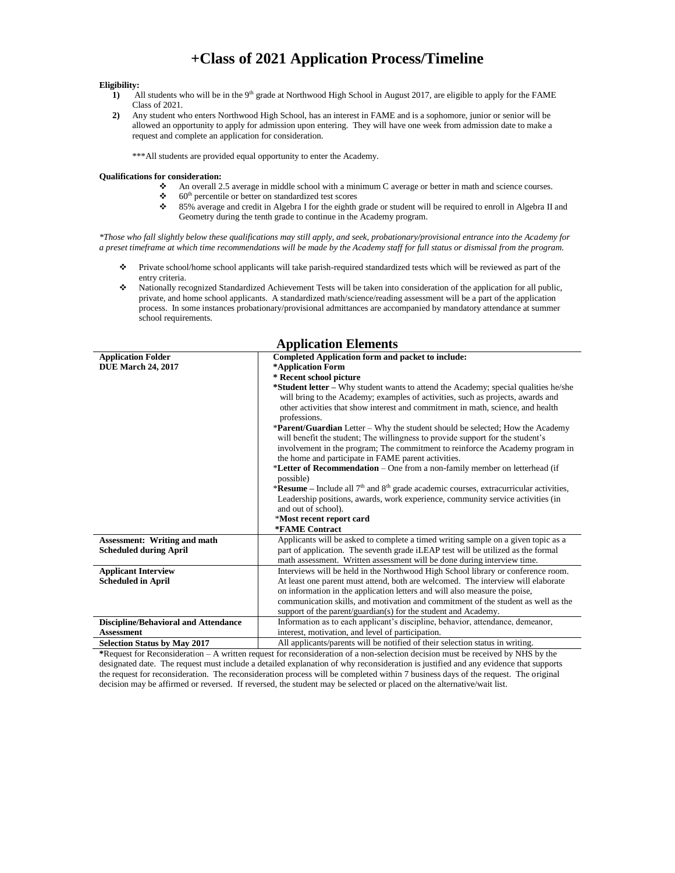## **+Class of 2021 Application Process/Timeline**

#### **Eligibility:**

- **1)** All students who will be in the 9<sup>th</sup> grade at Northwood High School in August 2017, are eligible to apply for the FAME Class of 2021.
- **2)** Any student who enters Northwood High School, has an interest in FAME and is a sophomore, junior or senior will be allowed an opportunity to apply for admission upon entering. They will have one week from admission date to make a request and complete an application for consideration.

\*\*\*All students are provided equal opportunity to enter the Academy.

#### **Qualifications for consideration:**

- An overall 2.5 average in middle school with a minimum C average or better in math and science courses.
- $\div$  60<sup>th</sup> percentile or better on standardized test scores
- 85% average and credit in Algebra I for the eighth grade or student will be required to enroll in Algebra II and Geometry during the tenth grade to continue in the Academy program.

*\*Those who fall slightly below these qualifications may still apply, and seek, probationary/provisional entrance into the Academy for a preset timeframe at which time recommendations will be made by the Academy staff for full status or dismissal from the program.*

- Private school/home school applicants will take parish-required standardized tests which will be reviewed as part of the entry criteria.
- Nationally recognized Standardized Achievement Tests will be taken into consideration of the application for all public, private, and home school applicants. A standardized math/science/reading assessment will be a part of the application process. In some instances probationary/provisional admittances are accompanied by mandatory attendance at summer school requirements.

| <i><b>Experience Exements</b></i>           |                                                                                             |  |  |  |  |  |
|---------------------------------------------|---------------------------------------------------------------------------------------------|--|--|--|--|--|
| <b>Application Folder</b>                   | <b>Completed Application form and packet to include:</b>                                    |  |  |  |  |  |
| <b>DUE March 24, 2017</b>                   | *Application Form                                                                           |  |  |  |  |  |
|                                             | * Recent school picture                                                                     |  |  |  |  |  |
|                                             | * <b>Student letter</b> – Why student wants to attend the Academy; special qualities he/she |  |  |  |  |  |
|                                             | will bring to the Academy; examples of activities, such as projects, awards and             |  |  |  |  |  |
|                                             | other activities that show interest and commitment in math, science, and health             |  |  |  |  |  |
|                                             | professions.                                                                                |  |  |  |  |  |
|                                             | <b>*Parent/Guardian</b> Letter – Why the student should be selected; How the Academy        |  |  |  |  |  |
|                                             | will benefit the student; The willingness to provide support for the student's              |  |  |  |  |  |
|                                             | involvement in the program; The commitment to reinforce the Academy program in              |  |  |  |  |  |
|                                             | the home and participate in FAME parent activities.                                         |  |  |  |  |  |
|                                             | *Letter of Recommendation – One from a non-family member on letterhead (if                  |  |  |  |  |  |
|                                             | possible)                                                                                   |  |  |  |  |  |
|                                             | *Resume – Include all $7th$ and $8th$ grade academic courses, extracurricular activities,   |  |  |  |  |  |
|                                             | Leadership positions, awards, work experience, community service activities (in             |  |  |  |  |  |
|                                             | and out of school).                                                                         |  |  |  |  |  |
|                                             | *Most recent report card                                                                    |  |  |  |  |  |
|                                             | *FAME Contract                                                                              |  |  |  |  |  |
| <b>Assessment: Writing and math</b>         | Applicants will be asked to complete a timed writing sample on a given topic as a           |  |  |  |  |  |
| <b>Scheduled during April</b>               | part of application. The seventh grade iLEAP test will be utilized as the formal            |  |  |  |  |  |
|                                             | math assessment. Written assessment will be done during interview time.                     |  |  |  |  |  |
| <b>Applicant Interview</b>                  | Interviews will be held in the Northwood High School library or conference room.            |  |  |  |  |  |
| <b>Scheduled in April</b>                   | At least one parent must attend, both are welcomed. The interview will elaborate            |  |  |  |  |  |
|                                             | on information in the application letters and will also measure the poise,                  |  |  |  |  |  |
|                                             | communication skills, and motivation and commitment of the student as well as the           |  |  |  |  |  |
|                                             | support of the parent/guardian(s) for the student and Academy.                              |  |  |  |  |  |
| <b>Discipline/Behavioral and Attendance</b> | Information as to each applicant's discipline, behavior, attendance, demeanor,              |  |  |  |  |  |
| <b>Assessment</b>                           | interest, motivation, and level of participation.                                           |  |  |  |  |  |
| <b>Selection Status by May 2017</b>         | All applicants/parents will be notified of their selection status in writing.               |  |  |  |  |  |

#### **Application Elements**

**\***Request for Reconsideration – A written request for reconsideration of a non-selection decision must be received by NHS by the designated date. The request must include a detailed explanation of why reconsideration is justified and any evidence that supports the request for reconsideration. The reconsideration process will be completed within 7 business days of the request. The original decision may be affirmed or reversed. If reversed, the student may be selected or placed on the alternative/wait list.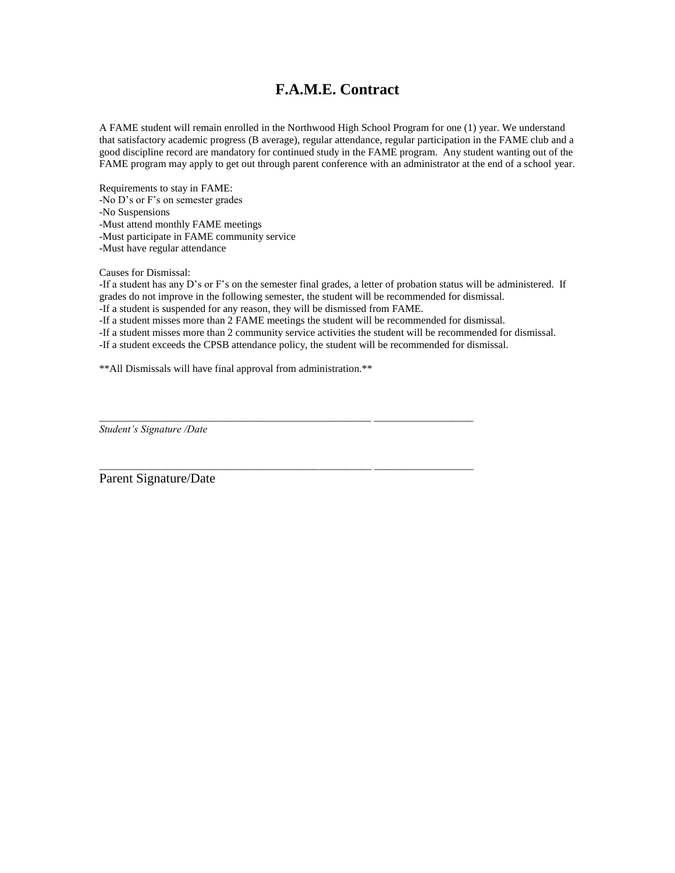## **F.A.M.E. Contract**

A FAME student will remain enrolled in the Northwood High School Program for one (1) year. We understand that satisfactory academic progress (B average), regular attendance, regular participation in the FAME club and a good discipline record are mandatory for continued study in the FAME program. Any student wanting out of the FAME program may apply to get out through parent conference with an administrator at the end of a school year.

Requirements to stay in FAME: -No D's or F's on semester grades -No Suspensions -Must attend monthly FAME meetings -Must participate in FAME community service -Must have regular attendance

Causes for Dismissal:

-If a student has any D's or F's on the semester final grades, a letter of probation status will be administered. If grades do not improve in the following semester, the student will be recommended for dismissal.

-If a student is suspended for any reason, they will be dismissed from FAME.

-If a student misses more than 2 FAME meetings the student will be recommended for dismissal.

-If a student misses more than 2 community service activities the student will be recommended for dismissal.

-If a student exceeds the CPSB attendance policy, the student will be recommended for dismissal.

\_\_\_\_\_\_\_\_\_\_\_\_\_\_\_\_\_\_\_\_\_\_\_\_\_\_\_\_\_\_\_\_\_\_\_\_\_\_\_\_\_\_\_\_\_\_\_\_\_\_\_\_ \_\_\_\_\_\_\_\_\_\_\_\_\_\_\_\_\_\_\_

*\_\_\_\_\_\_\_\_\_\_\_\_\_\_\_\_\_\_\_\_\_\_\_\_\_\_\_\_\_\_\_\_\_\_\_\_\_\_\_\_\_\_\_\_\_\_\_\_\_\_\_\_ \_\_\_\_\_\_\_\_\_\_\_\_\_\_\_\_\_\_\_*

\*\*All Dismissals will have final approval from administration.\*\*

*Student's Signature /Date*

Parent Signature/Date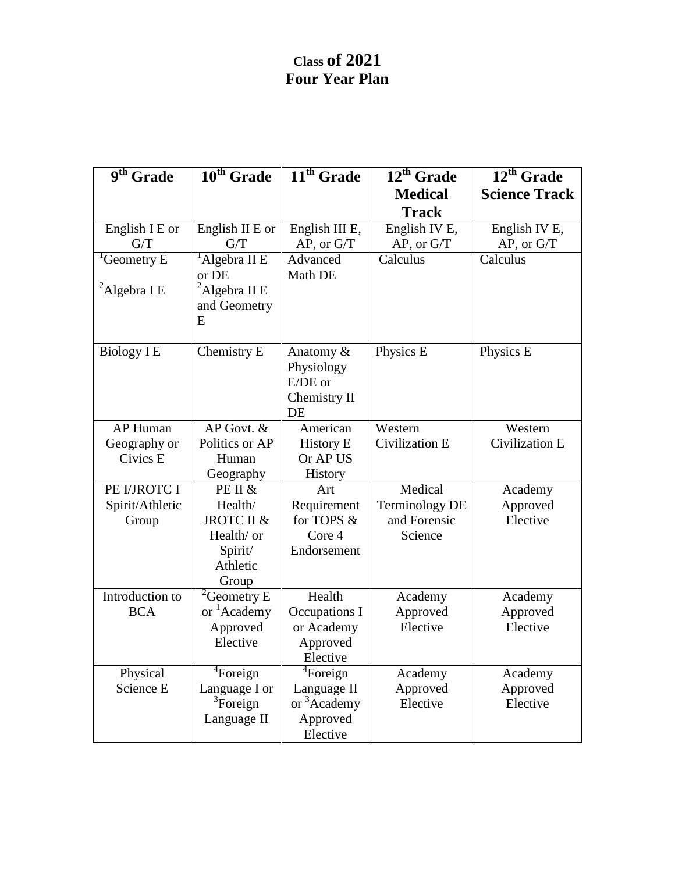# **Class of 2021 Four Year Plan**

| $9th$ Grade             | $\overline{10^{th}}$ Grade   | $\overline{11^{th}}$ Grade | $\overline{12^{th}}$ Grade | $\overline{12^{th}}$ Grade |
|-------------------------|------------------------------|----------------------------|----------------------------|----------------------------|
|                         |                              |                            | <b>Medical</b>             | <b>Science Track</b>       |
|                         |                              |                            | <b>Track</b>               |                            |
| English I E or          | English II E or              | English III E,             | English IV E,              | English IV E,              |
| G/T                     | G/T                          | $AP$ , or $G/T$            | AP, or G/T                 | AP, or G/T                 |
| <sup>1</sup> Geometry E | $1$ Algebra II E             | Advanced                   | Calculus                   | Calculus                   |
|                         | or DE                        | Math DE                    |                            |                            |
| ${}^{2}$ Algebra I E    | ${}^{2}$ Algebra II E        |                            |                            |                            |
|                         | and Geometry                 |                            |                            |                            |
|                         | E                            |                            |                            |                            |
| <b>Biology I E</b>      | Chemistry E                  | Anatomy &                  | Physics E                  | Physics E                  |
|                         |                              | Physiology                 |                            |                            |
|                         |                              | $E/DE$ or                  |                            |                            |
|                         |                              | Chemistry II               |                            |                            |
|                         |                              | DE                         |                            |                            |
| AP Human                | AP Govt. &                   | American                   | Western                    | Western                    |
| Geography or            | Politics or AP               | <b>History E</b>           | Civilization E             | Civilization E             |
| Civics E                | Human                        | Or AP US                   |                            |                            |
|                         | Geography                    | <b>History</b>             |                            |                            |
| PE I/JROTC I            | PE II &                      | Art                        | Medical                    | Academy                    |
| Spirit/Athletic         | Health/                      | Requirement                | <b>Terminology DE</b>      | Approved                   |
| Group                   | JROTC II &                   | for TOPS &                 | and Forensic               | Elective                   |
|                         | Health/ or                   | Core 4                     | Science                    |                            |
|                         | Spirit/<br>Athletic          | Endorsement                |                            |                            |
|                         |                              |                            |                            |                            |
| Introduction to         | Group<br>${}^{2}$ Geometry E | Health                     | Academy                    | Academy                    |
| <b>BCA</b>              | or <sup>1</sup> Academy      | Occupations I              | Approved                   | Approved                   |
|                         | Approved                     | or Academy                 | Elective                   | Elective                   |
|                         | Elective                     | Approved                   |                            |                            |
|                         |                              | Elective                   |                            |                            |
| Physical                | <sup>4</sup> Foreign         | ${}^{4}$ Foreign           | Academy                    | Academy                    |
| Science E               | Language I or                | Language II                | Approved                   | Approved                   |
|                         | ${}^{3}$ Foreign             | or <sup>3</sup> Academy    | Elective                   | Elective                   |
|                         | Language II                  | Approved                   |                            |                            |
|                         |                              | Elective                   |                            |                            |